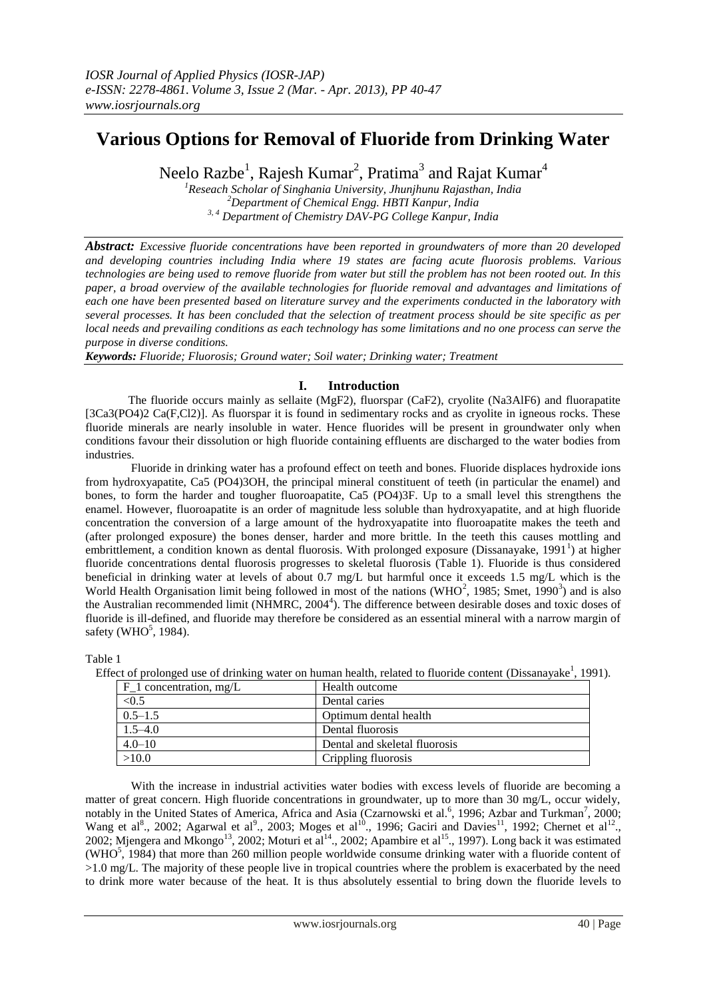# **Various Options for Removal of Fluoride from Drinking Water**

Neelo Razbe<sup>1</sup>, Rajesh Kumar<sup>2</sup>, Pratima<sup>3</sup> and Rajat Kumar<sup>4</sup>

*<sup>1</sup>Reseach Scholar of Singhania University, Jhunjhunu Rajasthan, India <sup>2</sup>Department of Chemical Engg. HBTI Kanpur, India 3, 4 Department of Chemistry DAV-PG College Kanpur, India*

*Abstract: Excessive fluoride concentrations have been reported in groundwaters of more than 20 developed and developing countries including India where 19 states are facing acute fluorosis problems. Various technologies are being used to remove fluoride from water but still the problem has not been rooted out. In this paper, a broad overview of the available technologies for fluoride removal and advantages and limitations of each one have been presented based on literature survey and the experiments conducted in the laboratory with several processes. It has been concluded that the selection of treatment process should be site specific as per local needs and prevailing conditions as each technology has some limitations and no one process can serve the purpose in diverse conditions.*

*Keywords: Fluoride; Fluorosis; Ground water; Soil water; Drinking water; Treatment*

## **I. Introduction**

 The fluoride occurs mainly as sellaite (MgF2), fluorspar (CaF2), cryolite (Na3AlF6) and fluorapatite [3Ca3(PO4)2 Ca(F,Cl2)]. As fluorspar it is found in sedimentary rocks and as cryolite in igneous rocks. These fluoride minerals are nearly insoluble in water. Hence fluorides will be present in groundwater only when conditions favour their dissolution or high fluoride containing effluents are discharged to the water bodies from industries.

 Fluoride in drinking water has a profound effect on teeth and bones. Fluoride displaces hydroxide ions from hydroxyapatite, Ca5 (PO4)3OH, the principal mineral constituent of teeth (in particular the enamel) and bones, to form the harder and tougher fluoroapatite, Ca5 (PO4)3F. Up to a small level this strengthens the enamel. However, fluoroapatite is an order of magnitude less soluble than hydroxyapatite, and at high fluoride concentration the conversion of a large amount of the hydroxyapatite into fluoroapatite makes the teeth and (after prolonged exposure) the bones denser, harder and more brittle. In the teeth this causes mottling and embrittlement, a condition known as dental fluorosis. With prolonged exposure (Dissanayake, 1991<sup>1</sup>) at higher fluoride concentrations dental fluorosis progresses to skeletal fluorosis (Table 1). Fluoride is thus considered beneficial in drinking water at levels of about 0.7 mg/L but harmful once it exceeds 1.5 mg/L which is the World Health Organisation limit being followed in most of the nations (WHO<sup>2</sup>, 1985; Smet, 1990<sup>3</sup>) and is also the Australian recommended limit (NHMRC, 2004<sup>4</sup>). The difference between desirable doses and toxic doses of fluoride is ill-defined, and fluoride may therefore be considered as an essential mineral with a narrow margin of safety (WHO<sup>5</sup>, 1984).

Table 1

Effect of prolonged use of drinking water on human health, related to fluoride content (Dissanayake<sup>1</sup>, 1991).

| $F_1$ concentration, mg/L | Health outcome                |
|---------------------------|-------------------------------|
| < 0.5                     | Dental caries                 |
| $0.5 - 1.5$               | Optimum dental health         |
| $1.5 - 4.0$               | Dental fluorosis              |
| $4.0 - 10$                | Dental and skeletal fluorosis |
| >10.0                     | Crippling fluorosis           |

 With the increase in industrial activities water bodies with excess levels of fluoride are becoming a matter of great concern. High fluoride concentrations in groundwater, up to more than 30 mg/L, occur widely, notably in the United States of America, Africa and Asia (Czarnowski et al.<sup>6</sup>, 1996; Azbar and Turkman<sup>7</sup>, 2000; Wang et al<sup>8</sup>., 2002; Agarwal et al<sup>9</sup>., 2003; Moges et al<sup>10</sup>., 1996; Gaciri and Davies<sup>11</sup>, 1992; Chernet et al<sup>12</sup>., 2002; Mjengera and Mkongo<sup>13</sup>, 2002; Moturi et al<sup>14</sup>., 2002; Apambire et al<sup>15</sup>., 1997). Long back it was estimated  $(WHO<sup>5</sup>, 1984)$  that more than 260 million people worldwide consume drinking water with a fluoride content of >1.0 mg/L. The majority of these people live in tropical countries where the problem is exacerbated by the need to drink more water because of the heat. It is thus absolutely essential to bring down the fluoride levels to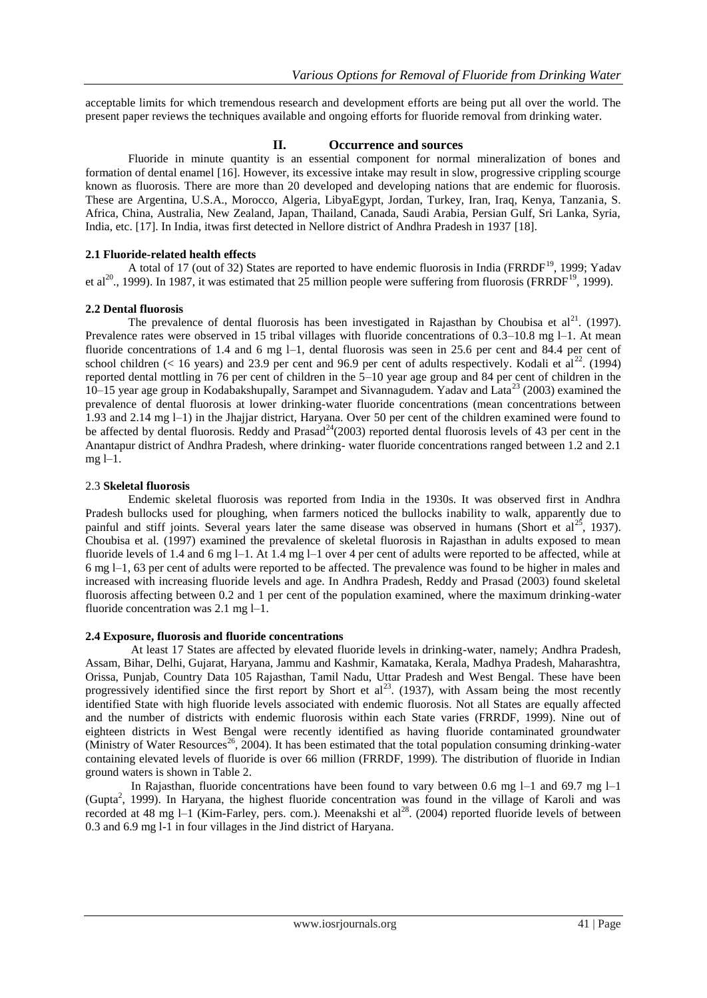acceptable limits for which tremendous research and development efforts are being put all over the world. The present paper reviews the techniques available and ongoing efforts for fluoride removal from drinking water.

#### **II. Occurrence and sources**

Fluoride in minute quantity is an essential component for normal mineralization of bones and formation of dental enamel [16]. However, its excessive intake may result in slow, progressive crippling scourge known as fluorosis. There are more than 20 developed and developing nations that are endemic for fluorosis. These are Argentina, U.S.A., Morocco, Algeria, LibyaEgypt, Jordan, Turkey, Iran, Iraq, Kenya, Tanzania, S. Africa, China, Australia, New Zealand, Japan, Thailand, Canada, Saudi Arabia, Persian Gulf, Sri Lanka, Syria, India, etc. [17]. In India, itwas first detected in Nellore district of Andhra Pradesh in 1937 [18].

#### **2.1 Fluoride-related health effects**

A total of 17 (out of 32) States are reported to have endemic fluorosis in India ( $FRRDF<sup>19</sup>$ , 1999; Yadav et al<sup>20</sup>., 1999). In 1987, it was estimated that  $25$  million people were suffering from fluorosis (FRRDF<sup>19</sup>, 1999).

#### **2.2 Dental fluorosis**

The prevalence of dental fluorosis has been investigated in Rajasthan by Choubisa et  $al^{21}$ . (1997). Prevalence rates were observed in 15 tribal villages with fluoride concentrations of 0.3–10.8 mg l–1. At mean fluoride concentrations of 1.4 and 6 mg l–1, dental fluorosis was seen in 25.6 per cent and 84.4 per cent of school children (< 16 years) and 23.9 per cent and 96.9 per cent of adults respectively. Kodali et al<sup>22</sup>. (1994) reported dental mottling in 76 per cent of children in the 5–10 year age group and 84 per cent of children in the 10–15 year age group in Kodabakshupally, Sarampet and Sivannagudem. Yadav and Lata<sup>23</sup> (2003) examined the prevalence of dental fluorosis at lower drinking-water fluoride concentrations (mean concentrations between 1.93 and 2.14 mg l–1) in the Jhajjar district, Haryana. Over 50 per cent of the children examined were found to be affected by dental fluorosis. Reddy and Prasad<sup>24</sup>(2003) reported dental fluorosis levels of 43 per cent in the Anantapur district of Andhra Pradesh, where drinking- water fluoride concentrations ranged between 1.2 and 2.1  $mg$  l–1.

#### 2.3 **Skeletal fluorosis**

Endemic skeletal fluorosis was reported from India in the 1930s. It was observed first in Andhra Pradesh bullocks used for ploughing, when farmers noticed the bullocks inability to walk, apparently due to painful and stiff joints. Several years later the same disease was observed in humans (Short et al.<sup>25</sup>, 1937). Choubisa et al*.* (1997) examined the prevalence of skeletal fluorosis in Rajasthan in adults exposed to mean fluoride levels of 1.4 and 6 mg l–1. At 1.4 mg l–1 over 4 per cent of adults were reported to be affected, while at 6 mg l–1, 63 per cent of adults were reported to be affected. The prevalence was found to be higher in males and increased with increasing fluoride levels and age. In Andhra Pradesh, Reddy and Prasad (2003) found skeletal fluorosis affecting between 0.2 and 1 per cent of the population examined, where the maximum drinking-water fluoride concentration was 2.1 mg l–1.

#### **2.4 Exposure, fluorosis and fluoride concentrations**

At least 17 States are affected by elevated fluoride levels in drinking-water, namely; Andhra Pradesh, Assam, Bihar, Delhi, Gujarat, Haryana, Jammu and Kashmir, Kamataka, Kerala, Madhya Pradesh, Maharashtra, Orissa, Punjab, Country Data 105 Rajasthan, Tamil Nadu, Uttar Pradesh and West Bengal. These have been progressively identified since the first report by Short et al<sup>23</sup>. (1937), with Assam being the most recently identified State with high fluoride levels associated with endemic fluorosis. Not all States are equally affected and the number of districts with endemic fluorosis within each State varies (FRRDF, 1999). Nine out of eighteen districts in West Bengal were recently identified as having fluoride contaminated groundwater (Ministry of Water Resources<sup>26</sup>, 2004). It has been estimated that the total population consuming drinking-water containing elevated levels of fluoride is over 66 million (FRRDF, 1999). The distribution of fluoride in Indian ground waters is shown in Table 2.

 In Rajasthan, fluoride concentrations have been found to vary between 0.6 mg l–1 and 69.7 mg l–1 (Gupta<sup>2</sup>, 1999). In Haryana, the highest fluoride concentration was found in the village of Karoli and was recorded at 48 mg l–1 (Kim-Farley, pers. com.). Meenakshi et al<sup>28</sup>. (2004) reported fluoride levels of between 0.3 and 6.9 mg l-1 in four villages in the Jind district of Haryana.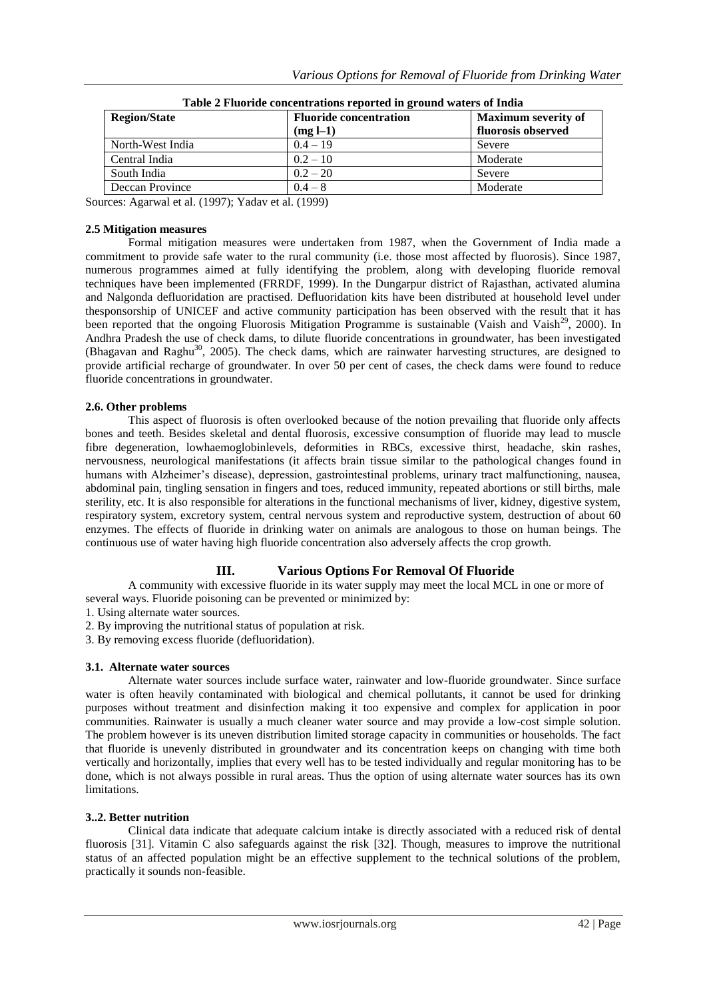| <b>Region/State</b> | <b>Fluoride concentration</b><br>$(mgl-1)$ | <b>Maximum severity of</b><br>fluorosis observed |
|---------------------|--------------------------------------------|--------------------------------------------------|
| North-West India    | $0.4 - 19$                                 | Severe                                           |
| Central India       | $0.2 - 10$                                 | Moderate                                         |
| South India         | $0.2 - 20$                                 | Severe                                           |
| Deccan Province     | $0.4 - 8$                                  | Moderate                                         |

| Table 2 Fluoride concentrations reported in ground waters of India |  |  |
|--------------------------------------------------------------------|--|--|
|--------------------------------------------------------------------|--|--|

Sources: Agarwal et al. (1997); Yadav et al. (1999)

#### **2.5 Mitigation measures**

Formal mitigation measures were undertaken from 1987, when the Government of India made a commitment to provide safe water to the rural community (i.e. those most affected by fluorosis). Since 1987, numerous programmes aimed at fully identifying the problem, along with developing fluoride removal techniques have been implemented (FRRDF, 1999). In the Dungarpur district of Rajasthan, activated alumina and Nalgonda defluoridation are practised. Defluoridation kits have been distributed at household level under thesponsorship of UNICEF and active community participation has been observed with the result that it has been reported that the ongoing Fluorosis Mitigation Programme is sustainable (Vaish and Vaish<sup>29</sup>, 2000). In Andhra Pradesh the use of check dams, to dilute fluoride concentrations in groundwater, has been investigated (Bhagavan and Raghu<sup>30</sup>, 2005). The check dams, which are rainwater harvesting structures, are designed to provide artificial recharge of groundwater. In over 50 per cent of cases, the check dams were found to reduce fluoride concentrations in groundwater.

## **2.6. Other problems**

This aspect of fluorosis is often overlooked because of the notion prevailing that fluoride only affects bones and teeth. Besides skeletal and dental fluorosis, excessive consumption of fluoride may lead to muscle fibre degeneration, lowhaemoglobinlevels, deformities in RBCs, excessive thirst, headache, skin rashes, nervousness, neurological manifestations (it affects brain tissue similar to the pathological changes found in humans with Alzheimer's disease), depression, gastrointestinal problems, urinary tract malfunctioning, nausea, abdominal pain, tingling sensation in fingers and toes, reduced immunity, repeated abortions or still births, male sterility, etc. It is also responsible for alterations in the functional mechanisms of liver, kidney, digestive system, respiratory system, excretory system, central nervous system and reproductive system, destruction of about 60 enzymes. The effects of fluoride in drinking water on animals are analogous to those on human beings. The continuous use of water having high fluoride concentration also adversely affects the crop growth.

## **III. Various Options For Removal Of Fluoride**

A community with excessive fluoride in its water supply may meet the local MCL in one or more of several ways. Fluoride poisoning can be prevented or minimized by:

1. Using alternate water sources.

- 2. By improving the nutritional status of population at risk.
- 3. By removing excess fluoride (defluoridation).

#### **3.1. Alternate water sources**

Alternate water sources include surface water, rainwater and low-fluoride groundwater. Since surface water is often heavily contaminated with biological and chemical pollutants, it cannot be used for drinking purposes without treatment and disinfection making it too expensive and complex for application in poor communities. Rainwater is usually a much cleaner water source and may provide a low-cost simple solution. The problem however is its uneven distribution limited storage capacity in communities or households. The fact that fluoride is unevenly distributed in groundwater and its concentration keeps on changing with time both vertically and horizontally, implies that every well has to be tested individually and regular monitoring has to be done, which is not always possible in rural areas. Thus the option of using alternate water sources has its own limitations.

#### **3..2. Better nutrition**

Clinical data indicate that adequate calcium intake is directly associated with a reduced risk of dental fluorosis [31]. Vitamin C also safeguards against the risk [32]. Though, measures to improve the nutritional status of an affected population might be an effective supplement to the technical solutions of the problem, practically it sounds non-feasible.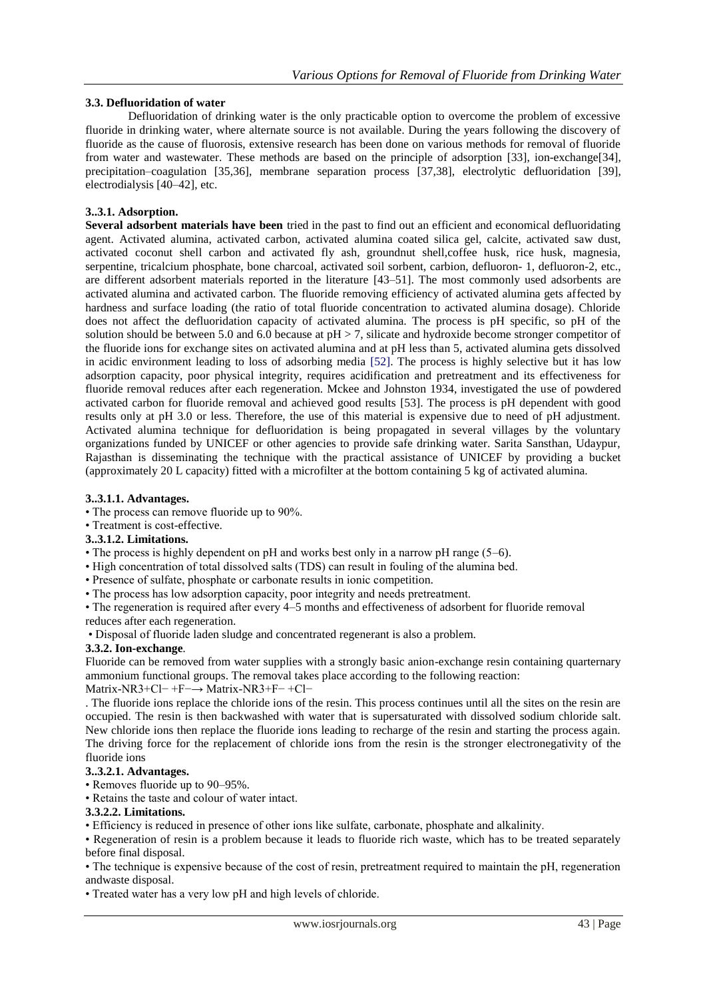## **3.3. Defluoridation of water**

Defluoridation of drinking water is the only practicable option to overcome the problem of excessive fluoride in drinking water, where alternate source is not available. During the years following the discovery of fluoride as the cause of fluorosis, extensive research has been done on various methods for removal of fluoride from water and wastewater. These methods are based on the principle of adsorption [33], ion-exchange[34], precipitation–coagulation [35,36], membrane separation process [37,38], electrolytic defluoridation [39], electrodialysis [40–42], etc.

## **3..3.1. Adsorption.**

**Several adsorbent materials have been** tried in the past to find out an efficient and economical defluoridating agent. Activated alumina, activated carbon, activated alumina coated silica gel, calcite, activated saw dust, activated coconut shell carbon and activated fly ash, groundnut shell,coffee husk, rice husk, magnesia, serpentine, tricalcium phosphate, bone charcoal, activated soil sorbent, carbion, defluoron-1, defluoron-2, etc., are different adsorbent materials reported in the literature [43–51]. The most commonly used adsorbents are activated alumina and activated carbon. The fluoride removing efficiency of activated alumina gets affected by hardness and surface loading (the ratio of total fluoride concentration to activated alumina dosage). Chloride does not affect the defluoridation capacity of activated alumina. The process is pH specific, so pH of the solution should be between 5.0 and 6.0 because at  $pH > 7$ , silicate and hydroxide become stronger competitor of the fluoride ions for exchange sites on activated alumina and at pH less than 5, activated alumina gets dissolved in acidic environment leading to loss of adsorbing media [52]. The process is highly selective but it has low adsorption capacity, poor physical integrity, requires acidification and pretreatment and its effectiveness for fluoride removal reduces after each regeneration. Mckee and Johnston 1934, investigated the use of powdered activated carbon for fluoride removal and achieved good results [53]. The process is pH dependent with good results only at pH 3.0 or less. Therefore, the use of this material is expensive due to need of pH adjustment. Activated alumina technique for defluoridation is being propagated in several villages by the voluntary organizations funded by UNICEF or other agencies to provide safe drinking water. Sarita Sansthan, Udaypur, Rajasthan is disseminating the technique with the practical assistance of UNICEF by providing a bucket (approximately 20 L capacity) fitted with a microfilter at the bottom containing 5 kg of activated alumina.

#### **3..3.1.1. Advantages.**

- The process can remove fluoride up to 90%.
- Treatment is cost-effective.

#### **3..3.1.2. Limitations.**

- The process is highly dependent on pH and works best only in a narrow pH range (5–6).
- High concentration of total dissolved salts (TDS) can result in fouling of the alumina bed.
- Presence of sulfate, phosphate or carbonate results in ionic competition.
- The process has low adsorption capacity, poor integrity and needs pretreatment.

• The regeneration is required after every 4–5 months and effectiveness of adsorbent for fluoride removal reduces after each regeneration.

• Disposal of fluoride laden sludge and concentrated regenerant is also a problem.

#### **3.3.2. Ion-exchange***.*

Fluoride can be removed from water supplies with a strongly basic anion-exchange resin containing quarternary ammonium functional groups. The removal takes place according to the following reaction:

# Matrix-NR3+Cl− +F−→ Matrix-NR3+F− +Cl−

. The fluoride ions replace the chloride ions of the resin. This process continues until all the sites on the resin are occupied. The resin is then backwashed with water that is supersaturated with dissolved sodium chloride salt. New chloride ions then replace the fluoride ions leading to recharge of the resin and starting the process again. The driving force for the replacement of chloride ions from the resin is the stronger electronegativity of the fluoride ions

#### **3..3.2.1. Advantages.**

• Removes fluoride up to 90–95%.

• Retains the taste and colour of water intact.

#### **3.3.2.2. Limitations.**

• Efficiency is reduced in presence of other ions like sulfate, carbonate, phosphate and alkalinity.

• Regeneration of resin is a problem because it leads to fluoride rich waste, which has to be treated separately before final disposal.

• The technique is expensive because of the cost of resin, pretreatment required to maintain the pH, regeneration andwaste disposal.

• Treated water has a very low pH and high levels of chloride.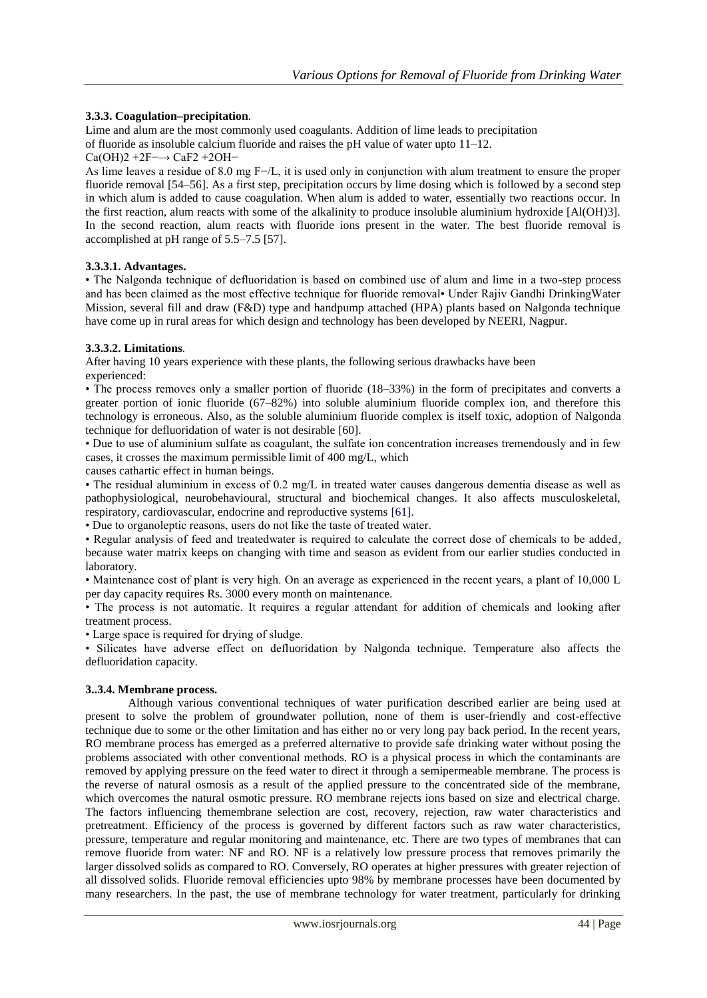## **3.3.3. Coagulation–precipitation***.*

Lime and alum are the most commonly used coagulants. Addition of lime leads to precipitation of fluoride as insoluble calcium fluoride and raises the pH value of water upto 11–12.  $Ca(OH)2 + 2F$ <sup>--</sup>  $CaF2 + 2OH$ -

As lime leaves a residue of 8.0 mg F−/L, it is used only in conjunction with alum treatment to ensure the proper fluoride removal [54–56]. As a first step, precipitation occurs by lime dosing which is followed by a second step in which alum is added to cause coagulation. When alum is added to water, essentially two reactions occur. In the first reaction, alum reacts with some of the alkalinity to produce insoluble aluminium hydroxide [Al(OH)3]. In the second reaction, alum reacts with fluoride ions present in the water. The best fluoride removal is accomplished at pH range of 5.5–7.5 [57].

## **3.3.3.1. Advantages.**

• The Nalgonda technique of defluoridation is based on combined use of alum and lime in a two-step process and has been claimed as the most effective technique for fluoride removal• Under Rajiv Gandhi DrinkingWater Mission, several fill and draw (F&D) type and handpump attached (HPA) plants based on Nalgonda technique have come up in rural areas for which design and technology has been developed by NEERI, Nagpur.

## **3.3.3.2. Limitations***.*

After having 10 years experience with these plants, the following serious drawbacks have been experienced:

• The process removes only a smaller portion of fluoride (18–33%) in the form of precipitates and converts a greater portion of ionic fluoride (67–82%) into soluble aluminium fluoride complex ion, and therefore this technology is erroneous. Also, as the soluble aluminium fluoride complex is itself toxic, adoption of Nalgonda technique for defluoridation of water is not desirable [60].

• Due to use of aluminium sulfate as coagulant, the sulfate ion concentration increases tremendously and in few cases, it crosses the maximum permissible limit of 400 mg/L, which

causes cathartic effect in human beings.

• The residual aluminium in excess of 0.2 mg/L in treated water causes dangerous dementia disease as well as pathophysiological, neurobehavioural, structural and biochemical changes. It also affects musculoskeletal, respiratory, cardiovascular, endocrine and reproductive systems [61].

• Due to organoleptic reasons, users do not like the taste of treated water.

• Regular analysis of feed and treatedwater is required to calculate the correct dose of chemicals to be added, because water matrix keeps on changing with time and season as evident from our earlier studies conducted in laboratory.

• Maintenance cost of plant is very high. On an average as experienced in the recent years, a plant of 10,000 L per day capacity requires Rs. 3000 every month on maintenance.

• The process is not automatic. It requires a regular attendant for addition of chemicals and looking after treatment process.

• Large space is required for drying of sludge.

• Silicates have adverse effect on defluoridation by Nalgonda technique. Temperature also affects the defluoridation capacity.

## **3..3.4. Membrane process.**

Although various conventional techniques of water purification described earlier are being used at present to solve the problem of groundwater pollution, none of them is user-friendly and cost-effective technique due to some or the other limitation and has either no or very long pay back period. In the recent years, RO membrane process has emerged as a preferred alternative to provide safe drinking water without posing the problems associated with other conventional methods. RO is a physical process in which the contaminants are removed by applying pressure on the feed water to direct it through a semipermeable membrane. The process is the reverse of natural osmosis as a result of the applied pressure to the concentrated side of the membrane, which overcomes the natural osmotic pressure. RO membrane rejects ions based on size and electrical charge. The factors influencing themembrane selection are cost, recovery, rejection, raw water characteristics and pretreatment. Efficiency of the process is governed by different factors such as raw water characteristics, pressure, temperature and regular monitoring and maintenance, etc. There are two types of membranes that can remove fluoride from water: NF and RO. NF is a relatively low pressure process that removes primarily the larger dissolved solids as compared to RO. Conversely, RO operates at higher pressures with greater rejection of all dissolved solids. Fluoride removal efficiencies upto 98% by membrane processes have been documented by many researchers. In the past, the use of membrane technology for water treatment, particularly for drinking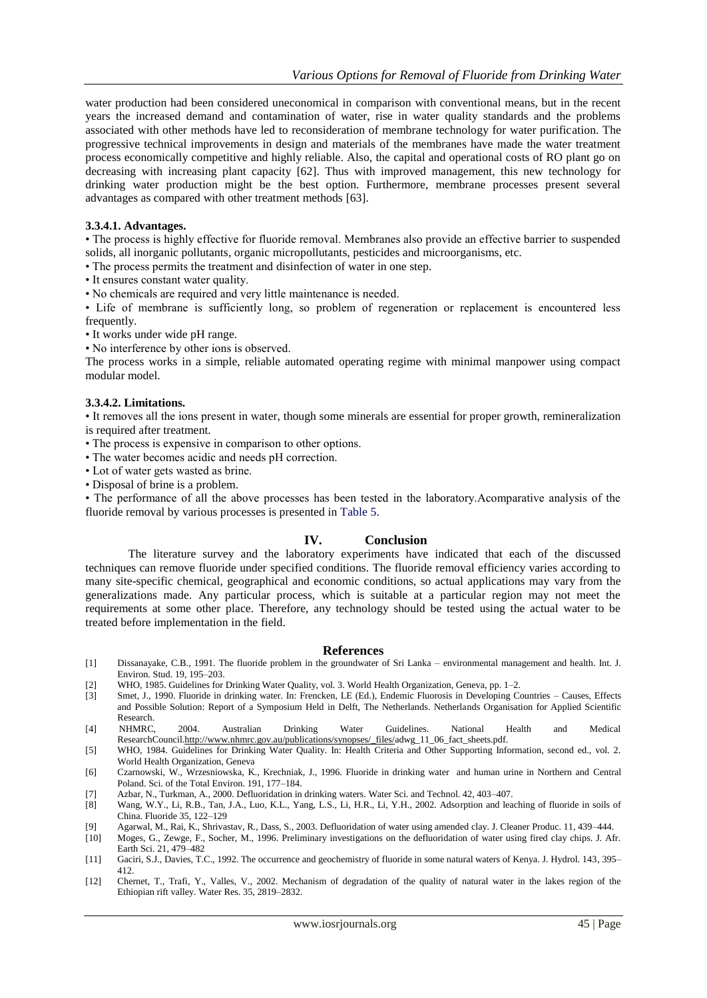water production had been considered uneconomical in comparison with conventional means, but in the recent years the increased demand and contamination of water, rise in water quality standards and the problems associated with other methods have led to reconsideration of membrane technology for water purification. The progressive technical improvements in design and materials of the membranes have made the water treatment process economically competitive and highly reliable. Also, the capital and operational costs of RO plant go on decreasing with increasing plant capacity [62]. Thus with improved management, this new technology for drinking water production might be the best option. Furthermore, membrane processes present several advantages as compared with other treatment methods [63].

#### **3.3.4.1. Advantages.**

• The process is highly effective for fluoride removal. Membranes also provide an effective barrier to suspended solids, all inorganic pollutants, organic micropollutants, pesticides and microorganisms, etc.

• The process permits the treatment and disinfection of water in one step.

• It ensures constant water quality.

• No chemicals are required and very little maintenance is needed.

• Life of membrane is sufficiently long, so problem of regeneration or replacement is encountered less frequently.

• It works under wide pH range.

• No interference by other ions is observed.

The process works in a simple, reliable automated operating regime with minimal manpower using compact modular model.

#### **3.3.4.2. Limitations.**

• It removes all the ions present in water, though some minerals are essential for proper growth, remineralization is required after treatment.

• The process is expensive in comparison to other options.

• The water becomes acidic and needs pH correction.

• Lot of water gets wasted as brine.

• Disposal of brine is a problem.

• The performance of all the above processes has been tested in the laboratory.Acomparative analysis of the fluoride removal by various processes is presented in Table 5.

## **IV. Conclusion**

The literature survey and the laboratory experiments have indicated that each of the discussed techniques can remove fluoride under specified conditions. The fluoride removal efficiency varies according to many site-specific chemical, geographical and economic conditions, so actual applications may vary from the generalizations made. Any particular process, which is suitable at a particular region may not meet the requirements at some other place. Therefore, any technology should be tested using the actual water to be treated before implementation in the field.

#### **References**

- [1] Dissanayake, C.B., 1991. The fluoride problem in the groundwater of Sri Lanka environmental management and health. Int. J. Environ. Stud. 19, 195–203.
- [2] WHO, 1985. Guidelines for Drinking Water Quality, vol. 3. World Health Organization, Geneva, pp. 1–2.
- [3] Smet, J., 1990. Fluoride in drinking water. In: Frencken, LE (Ed.), Endemic Fluorosis in Developing Countries Causes, Effects and Possible Solution: Report of a Symposium Held in Delft, The Netherlands. Netherlands Organisation for Applied Scientific Research.
- [4] NHMRC, 2004. Australian Drinking Water Guidelines. National Health and Medical ResearchCouncil.http://www.nhmrc.gov.au/publications/synopses/\_files/adwg\_11\_06\_fact\_sheets.pdf.
- [5] WHO, 1984. Guidelines for Drinking Water Quality. In: Health Criteria and Other Supporting Information, second ed., vol. 2. World Health Organization, Geneva
- [6] Czarnowski, W., Wrzesniowska, K., Krechniak, J., 1996. Fluoride in drinking water and human urine in Northern and Central Poland. Sci. of the Total Environ. 191, 177–184.
- [7] Azbar, N., Turkman, A., 2000. Defluoridation in drinking waters. Water Sci. and Technol. 42, 403–407.
- [8] Wang, W.Y., Li, R.B., Tan, J.A., Luo, K.L., Yang, L.S., Li, H.R., Li, Y.H., 2002. Adsorption and leaching of fluoride in soils of China. Fluoride 35, 122–129
- [9] Agarwal, M., Rai, K., Shrivastav, R., Dass, S., 2003. Defluoridation of water using amended clay. J. Cleaner Produc. 11, 439–444.
- [10] Moges, G., Zewge, F., Socher, M., 1996. Preliminary investigations on the defluoridation of water using fired clay chips. J. Afr. Earth Sci. 21, 479–482
- [11] Gaciri, S.J., Davies, T.C., 1992. The occurrence and geochemistry of fluoride in some natural waters of Kenya. J. Hydrol. 143, 395– 412.
- [12] Chernet, T., Trafi, Y., Valles, V., 2002. Mechanism of degradation of the quality of natural water in the lakes region of the Ethiopian rift valley. Water Res. 35, 2819–2832.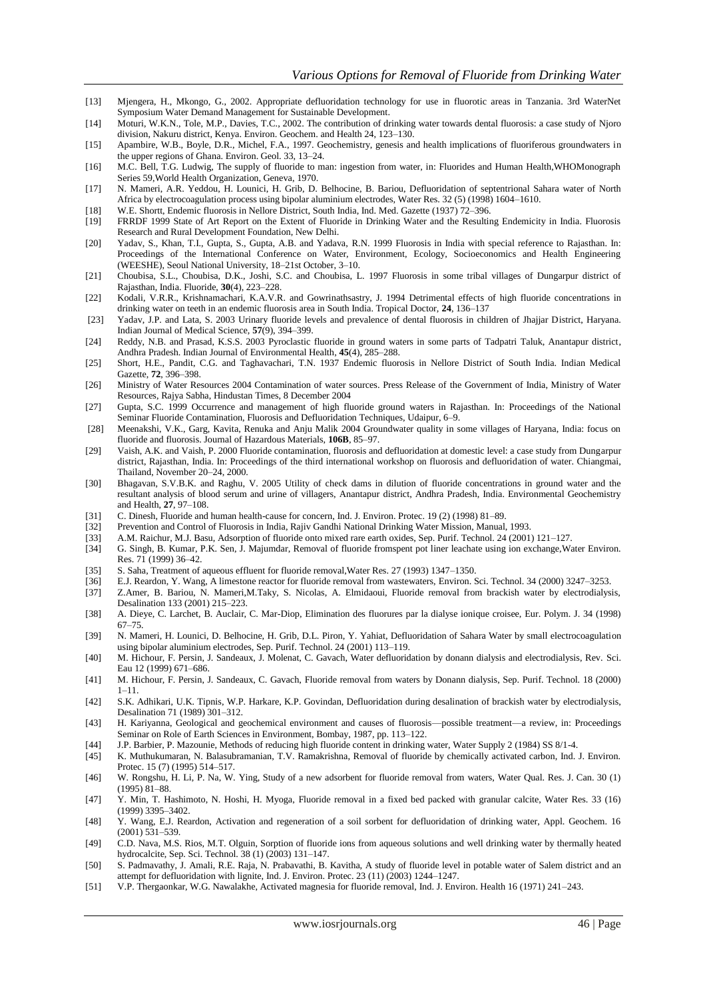- [13] Mjengera, H., Mkongo, G., 2002. Appropriate defluoridation technology for use in fluorotic areas in Tanzania. 3rd WaterNet Symposium Water Demand Management for Sustainable Development.
- [14] Moturi, W.K.N., Tole, M.P., Davies, T.C., 2002. The contribution of drinking water towards dental fluorosis: a case study of Njoro division, Nakuru district, Kenya. Environ. Geochem. and Health 24, 123–130.
- [15] Apambire, W.B., Boyle, D.R., Michel, F.A., 1997. Geochemistry, genesis and health implications of fluoriferous groundwaters in the upper regions of Ghana. Environ. Geol. 33, 13–24.
- [16] M.C. Bell, T.G. Ludwig, The supply of fluoride to man: ingestion from water, in: Fluorides and Human Health,WHOMonograph Series 59,World Health Organization, Geneva, 1970.
- [17] N. Mameri, A.R. Yeddou, H. Lounici, H. Grib, D. Belhocine, B. Bariou, Defluoridation of septentrional Sahara water of North Africa by electrocoagulation process using bipolar aluminium electrodes, Water Res. 32 (5) (1998) 1604–1610.
- [18] W.E. Shortt, Endemic fluorosis in Nellore District, South India, Ind. Med. Gazette (1937) 72–396.
- [19] FRRDF 1999 State of Art Report on the Extent of Fluoride in Drinking Water and the Resulting Endemicity in India. Fluorosis Research and Rural Development Foundation, New Delhi.
- [20] Yadav, S., Khan, T.I., Gupta, S., Gupta, A.B. and Yadava, R.N. 1999 Fluorosis in India with special reference to Rajasthan. In: Proceedings of the International Conference on Water, Environment, Ecology, Socioeconomics and Health Engineering (WEESHE), Seoul National University, 18–21st October, 3–10.
- [21] Choubisa, S.L., Choubisa, D.K., Joshi, S.C. and Choubisa, L. 1997 Fluorosis in some tribal villages of Dungarpur district of Rajasthan, India. Fluoride, **30**(4), 223–228.
- [22] Kodali, V.R.R., Krishnamachari, K.A.V.R. and Gowrinathsastry, J. 1994 Detrimental effects of high fluoride concentrations in drinking water on teeth in an endemic fluorosis area in South India. Tropical Doctor, **24**, 136–137
- [23] Yadav, J.P. and Lata, S. 2003 Urinary fluoride levels and prevalence of dental fluorosis in children of Jhajjar District, Haryana. Indian Journal of Medical Science, **57**(9), 394–399.
- [24] Reddy, N.B. and Prasad, K.S.S. 2003 Pyroclastic fluoride in ground waters in some parts of Tadpatri Taluk, Anantapur district, Andhra Pradesh. Indian Journal of Environmental Health, **45**(4), 285–288.
- [25] Short, H.E., Pandit, C.G. and Taghavachari, T.N. 1937 Endemic fluorosis in Nellore District of South India. Indian Medical Gazette, **72**, 396–398.
- [26] Ministry of Water Resources 2004 Contamination of water sources. Press Release of the Government of India, Ministry of Water Resources, Rajya Sabha, Hindustan Times, 8 December 2004
- [27] Gupta, S.C. 1999 Occurrence and management of high fluoride ground waters in Rajasthan. In: Proceedings of the National Seminar Fluoride Contamination, Fluorosis and Defluoridation Techniques, Udaipur, 6–9.
- [28] Meenakshi, V.K., Garg, Kavita, Renuka and Anju Malik 2004 Groundwater quality in some villages of Haryana, India: focus on fluoride and fluorosis. Journal of Hazardous Materials, **106B**, 85–97.
- [29] Vaish, A.K. and Vaish, P. 2000 Fluoride contamination, fluorosis and defluoridation at domestic level: a case study from Dungarpur district, Rajasthan, India. In: Proceedings of the third international workshop on fluorosis and defluoridation of water. Chiangmai, Thailand, November 20–24, 2000.
- [30] Bhagavan, S.V.B.K. and Raghu, V. 2005 Utility of check dams in dilution of fluoride concentrations in ground water and the resultant analysis of blood serum and urine of villagers, Anantapur district, Andhra Pradesh, India. Environmental Geochemistry and Health, **27**, 97–108.
- [31] C. Dinesh, Fluoride and human health-cause for concern, Ind. J. Environ. Protec. 19 (2) (1998) 81–89.
- [32] Prevention and Control of Fluorosis in India, Rajiv Gandhi National Drinking Water Mission, Manual, 1993.
- [33] A.M. Raichur, M.J. Basu, Adsorption of fluoride onto mixed rare earth oxides, Sep. Purif. Technol. 24 (2001) 121–127.
- [34] G. Singh, B. Kumar, P.K. Sen, J. Majumdar, Removal of fluoride fromspent pot liner leachate using ion exchange,Water Environ. Res. 71 (1999) 36–42.
- [35] S. Saha, Treatment of aqueous effluent for fluoride removal,Water Res. 27 (1993) 1347–1350.
- [36] E.J. Reardon, Y. Wang, A limestone reactor for fluoride removal from wastewaters, Environ. Sci. Technol. 34 (2000) 3247–3253.
- [37] Z.Amer, B. Bariou, N. Mameri,M.Taky, S. Nicolas, A. Elmidaoui, Fluoride removal from brackish water by electrodialysis, Desalination 133 (2001) 215–223.
- [38] A. Dieye, C. Larchet, B. Auclair, C. Mar-Diop, Elimination des fluorures par la dialyse ionique croisee, Eur. Polym. J. 34 (1998) 67–75.
- [39] N. Mameri, H. Lounici, D. Belhocine, H. Grib, D.L. Piron, Y. Yahiat, Defluoridation of Sahara Water by small electrocoagulation using bipolar aluminium electrodes, Sep. Purif. Technol. 24 (2001) 113–119.
- [40] M. Hichour, F. Persin, J. Sandeaux, J. Molenat, C. Gavach, Water defluoridation by donann dialysis and electrodialysis, Rev. Sci. Eau 12 (1999) 671–686.
- [41] M. Hichour, F. Persin, J. Sandeaux, C. Gavach, Fluoride removal from waters by Donann dialysis, Sep. Purif. Technol. 18 (2000) 1–11.
- [42] S.K. Adhikari, U.K. Tipnis, W.P. Harkare, K.P. Govindan, Defluoridation during desalination of brackish water by electrodialysis, Desalination 71 (1989) 301–312.
- [43] H. Kariyanna, Geological and geochemical environment and causes of fluorosis—possible treatment—a review, in: Proceedings Seminar on Role of Earth Sciences in Environment, Bombay, 1987, pp. 113–122.
- [44] J.P. Barbier, P. Mazounie, Methods of reducing high fluoride content in drinking water, Water Supply 2 (1984) SS 8/1-4.
- K. Muthukumaran, N. Balasubramanian, T.V. Ramakrishna, Removal of fluoride by chemically activated carbon, Ind. J. Environ. Protec. 15 (7) (1995) 514–517.
- [46] W. Rongshu, H. Li, P. Na, W. Ying, Study of a new adsorbent for fluoride removal from waters, Water Qual. Res. J. Can. 30 (1) (1995) 81–88.
- [47] Y. Min, T. Hashimoto, N. Hoshi, H. Myoga, Fluoride removal in a fixed bed packed with granular calcite, Water Res. 33 (16) (1999) 3395–3402.
- [48] Y. Wang, E.J. Reardon, Activation and regeneration of a soil sorbent for defluoridation of drinking water, Appl. Geochem. 16 (2001) 531–539.
- [49] C.D. Nava, M.S. Rios, M.T. Olguin, Sorption of fluoride ions from aqueous solutions and well drinking water by thermally heated hydrocalcite, Sep. Sci. Technol. 38 (1) (2003) 131–147.
- [50] S. Padmavathy, J. Amali, R.E. Raja, N. Prabavathi, B. Kavitha, A study of fluoride level in potable water of Salem district and an attempt for defluoridation with lignite, Ind. J. Environ. Protec. 23 (11) (2003) 1244–1247.
- [51] V.P. Thergaonkar, W.G. Nawalakhe, Activated magnesia for fluoride removal, Ind. J. Environ. Health 16 (1971) 241–243.